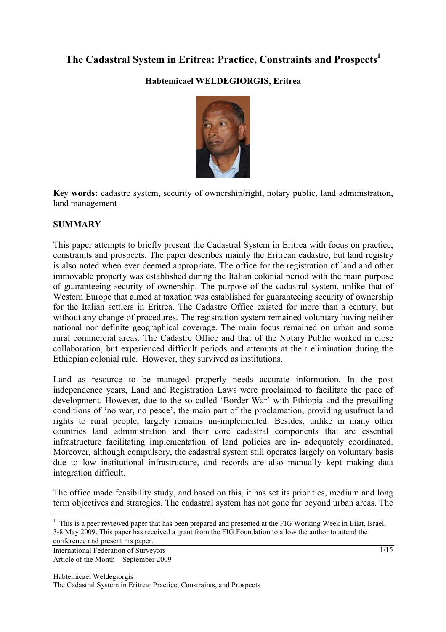# **The Cadastral System in Eritrea: Practice, Constraints and Prospects1**

### **Habtemicael WELDEGIORGIS, Eritrea**



**Key words:** cadastre system, security of ownership/right, notary public, land administration, land management

#### **SUMMARY**

This paper attempts to briefly present the Cadastral System in Eritrea with focus on practice, constraints and prospects. The paper describes mainly the Eritrean cadastre, but land registry is also noted when ever deemed appropriate**.** The office for the registration of land and other immovable property was established during the Italian colonial period with the main purpose of guaranteeing security of ownership. The purpose of the cadastral system, unlike that of Western Europe that aimed at taxation was established for guaranteeing security of ownership for the Italian settlers in Eritrea. The Cadastre Office existed for more than a century, but without any change of procedures. The registration system remained voluntary having neither national nor definite geographical coverage. The main focus remained on urban and some rural commercial areas. The Cadastre Office and that of the Notary Public worked in close collaboration, but experienced difficult periods and attempts at their elimination during the Ethiopian colonial rule. However, they survived as institutions.

Land as resource to be managed properly needs accurate information. In the post independence years, Land and Registration Laws were proclaimed to facilitate the pace of development. However, due to the so called 'Border War' with Ethiopia and the prevailing conditions of 'no war, no peace', the main part of the proclamation, providing usufruct land rights to rural people, largely remains un-implemented. Besides, unlike in many other countries land administration and their core cadastral components that are essential infrastructure facilitating implementation of land policies are in- adequately coordinated. Moreover, although compulsory, the cadastral system still operates largely on voluntary basis due to low institutional infrastructure, and records are also manually kept making data integration difficult.

The office made feasibility study, and based on this, it has set its priorities, medium and long term objectives and strategies. The cadastral system has not gone far beyond urban areas. The

International Federation of Surveyors Article of the Month – September 2009

 $\overline{a}$ 

<sup>&</sup>lt;sup>1</sup> This is a peer reviewed paper that has been prepared and presented at the FIG Working Week in Eilat, Israel, 3-8 May 2009. This paper has received a grant from the FIG Foundation to allow the author to attend the conference and present his paper.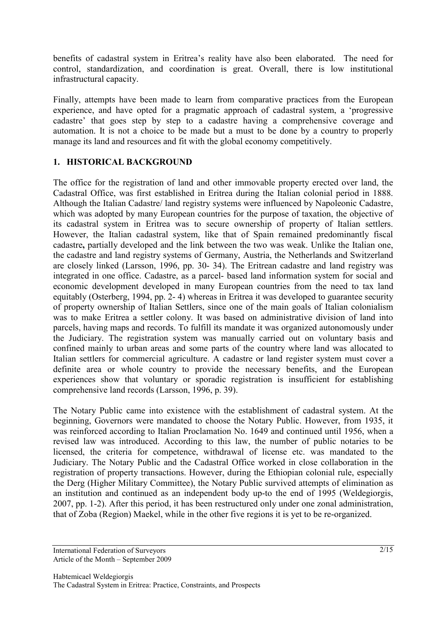benefits of cadastral system in Eritrea's reality have also been elaborated. The need for control, standardization, and coordination is great. Overall, there is low institutional infrastructural capacity.

Finally, attempts have been made to learn from comparative practices from the European experience, and have opted for a pragmatic approach of cadastral system, a 'progressive cadastre' that goes step by step to a cadastre having a comprehensive coverage and automation. It is not a choice to be made but a must to be done by a country to properly manage its land and resources and fit with the global economy competitively.

### **1. HISTORICAL BACKGROUND**

The office for the registration of land and other immovable property erected over land, the Cadastral Office, was first established in Eritrea during the Italian colonial period in 1888. Although the Italian Cadastre/ land registry systems were influenced by Napoleonic Cadastre, which was adopted by many European countries for the purpose of taxation, the objective of its cadastral system in Eritrea was to secure ownership of property of Italian settlers. However, the Italian cadastral system, like that of Spain remained predominantly fiscal cadastre**,** partially developed and the link between the two was weak. Unlike the Italian one, the cadastre and land registry systems of Germany, Austria, the Netherlands and Switzerland are closely linked (Larsson, 1996, pp. 30- 34). The Eritrean cadastre and land registry was integrated in one office. Cadastre, as a parcel- based land information system for social and economic development developed in many European countries from the need to tax land equitably (Osterberg, 1994, pp. 2- 4) whereas in Eritrea it was developed to guarantee security of property ownership of Italian Settlers, since one of the main goals of Italian colonialism was to make Eritrea a settler colony. It was based on administrative division of land into parcels, having maps and records. To fulfill its mandate it was organized autonomously under the Judiciary. The registration system was manually carried out on voluntary basis and confined mainly to urban areas and some parts of the country where land was allocated to Italian settlers for commercial agriculture. A cadastre or land register system must cover a definite area or whole country to provide the necessary benefits, and the European experiences show that voluntary or sporadic registration is insufficient for establishing comprehensive land records (Larsson, 1996, p. 39).

The Notary Public came into existence with the establishment of cadastral system. At the beginning, Governors were mandated to choose the Notary Public. However, from 1935, it was reinforced according to Italian Proclamation No. 1649 and continued until 1956, when a revised law was introduced. According to this law, the number of public notaries to be licensed, the criteria for competence, withdrawal of license etc. was mandated to the Judiciary. The Notary Public and the Cadastral Office worked in close collaboration in the registration of property transactions. However, during the Ethiopian colonial rule, especially the Derg (Higher Military Committee), the Notary Public survived attempts of elimination as an institution and continued as an independent body up-to the end of 1995 (Weldegiorgis, 2007, pp. 1-2). After this period, it has been restructured only under one zonal administration, that of Zoba (Region) Maekel, while in the other five regions it is yet to be re-organized.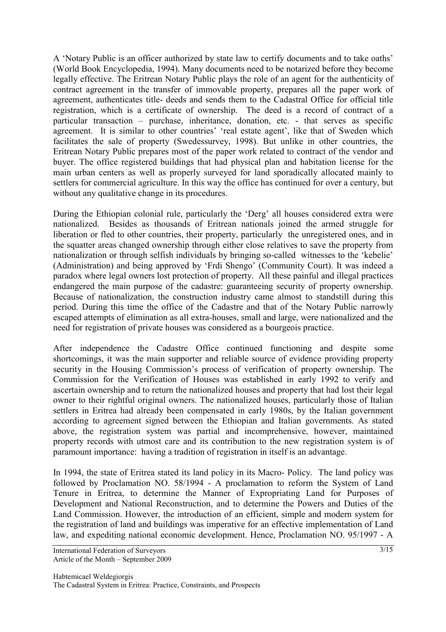A 'Notary Public is an officer authorized by state law to certify documents and to take oaths' (World Book Encyclopedia, 1994). Many documents need to be notarized before they become legally effective. The Eritrean Notary Public plays the role of an agent for the authenticity of contract agreement in the transfer of immovable property, prepares all the paper work of agreement, authenticates title- deeds and sends them to the Cadastral Office for official title registration, which is a certificate of ownership. The deed is a record of contract of a particular transaction – purchase, inheritance, donation, etc. - that serves as specific agreement. It is similar to other countries' 'real estate agent', like that of Sweden which facilitates the sale of property (Swedessurvey, 1998). But unlike in other countries, the Eritrean Notary Public prepares most of the paper work related to contract of the vendor and buyer. The office registered buildings that had physical plan and habitation license for the main urban centers as well as properly surveyed for land sporadically allocated mainly to settlers for commercial agriculture. In this way the office has continued for over a century, but without any qualitative change in its procedures.

During the Ethiopian colonial rule, particularly the 'Derg' all houses considered extra were nationalized. Besides as thousands of Eritrean nationals joined the armed struggle for liberation or fled to other countries, their property, particularly the unregistered ones, and in the squatter areas changed ownership through either close relatives to save the property from nationalization or through selfish individuals by bringing so-called witnesses to the 'kebelie' (Administration) and being approved by 'Frdi Shengo' (Community Court). It was indeed a paradox where legal owners lost protection of property. All these painful and illegal practices endangered the main purpose of the cadastre: guaranteeing security of property ownership. Because of nationalization, the construction industry came almost to standstill during this period. During this time the office of the Cadastre and that of the Notary Public narrowly escaped attempts of elimination as all extra-houses, small and large, were nationalized and the need for registration of private houses was considered as a bourgeois practice.

After independence the Cadastre Office continued functioning and despite some shortcomings, it was the main supporter and reliable source of evidence providing property security in the Housing Commission's process of verification of property ownership. The Commission for the Verification of Houses was established in early 1992 to verify and ascertain ownership and to return the nationalized houses and property that had lost their legal owner to their rightful original owners. The nationalized houses, particularly those of Italian settlers in Eritrea had already been compensated in early 1980s, by the Italian government according to agreement signed between the Ethiopian and Italian governments. As stated above, the registration system was partial and incomprehensive, however, maintained property records with utmost care and its contribution to the new registration system is of paramount importance: having a tradition of registration in itself is an advantage.

In 1994, the state of Eritrea stated its land policy in its Macro- Policy. The land policy was followed by Proclamation NO. 58/1994 - A proclamation to reform the System of Land Tenure in Eritrea, to determine the Manner of Expropriating Land for Purposes of Development and National Reconstruction, and to determine the Powers and Duties of the Land Commission. However, the introduction of an efficient, simple and modern system for the registration of land and buildings was imperative for an effective implementation of Land law, and expediting national economic development. Hence, Proclamation NO. 95/1997 - A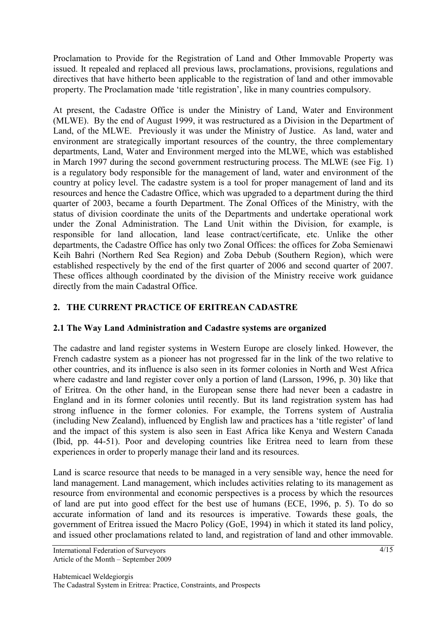Proclamation to Provide for the Registration of Land and Other Immovable Property was issued. It repealed and replaced all previous laws, proclamations, provisions, regulations and directives that have hitherto been applicable to the registration of land and other immovable property. The Proclamation made 'title registration', like in many countries compulsory.

At present, the Cadastre Office is under the Ministry of Land, Water and Environment (MLWE). By the end of August 1999, it was restructured as a Division in the Department of Land, of the MLWE. Previously it was under the Ministry of Justice. As land, water and environment are strategically important resources of the country, the three complementary departments, Land, Water and Environment merged into the MLWE, which was established in March 1997 during the second government restructuring process. The MLWE (see Fig. 1) is a regulatory body responsible for the management of land, water and environment of the country at policy level. The cadastre system is a tool for proper management of land and its resources and hence the Cadastre Office, which was upgraded to a department during the third quarter of 2003, became a fourth Department. The Zonal Offices of the Ministry, with the status of division coordinate the units of the Departments and undertake operational work under the Zonal Administration. The Land Unit within the Division, for example, is responsible for land allocation, land lease contract/certificate, etc. Unlike the other departments, the Cadastre Office has only two Zonal Offices: the offices for Zoba Semienawi Keih Bahri (Northern Red Sea Region) and Zoba Debub (Southern Region), which were established respectively by the end of the first quarter of 2006 and second quarter of 2007. These offices although coordinated by the division of the Ministry receive work guidance directly from the main Cadastral Office.

## **2. THE CURRENT PRACTICE OF ERITREAN CADASTRE**

### **2.1 The Way Land Administration and Cadastre systems are organized**

The cadastre and land register systems in Western Europe are closely linked. However, the French cadastre system as a pioneer has not progressed far in the link of the two relative to other countries, and its influence is also seen in its former colonies in North and West Africa where cadastre and land register cover only a portion of land (Larsson, 1996, p. 30) like that of Eritrea. On the other hand, in the European sense there had never been a cadastre in England and in its former colonies until recently. But its land registration system has had strong influence in the former colonies. For example, the Torrens system of Australia (including New Zealand), influenced by English law and practices has a 'title register' of land and the impact of this system is also seen in East Africa like Kenya and Western Canada (Ibid, pp. 44-51). Poor and developing countries like Eritrea need to learn from these experiences in order to properly manage their land and its resources.

Land is scarce resource that needs to be managed in a very sensible way, hence the need for land management. Land management, which includes activities relating to its management as resource from environmental and economic perspectives is a process by which the resources of land are put into good effect for the best use of humans (ECE, 1996, p. 5). To do so accurate information of land and its resources is imperative. Towards these goals, the government of Eritrea issued the Macro Policy (GoE, 1994) in which it stated its land policy, and issued other proclamations related to land, and registration of land and other immovable.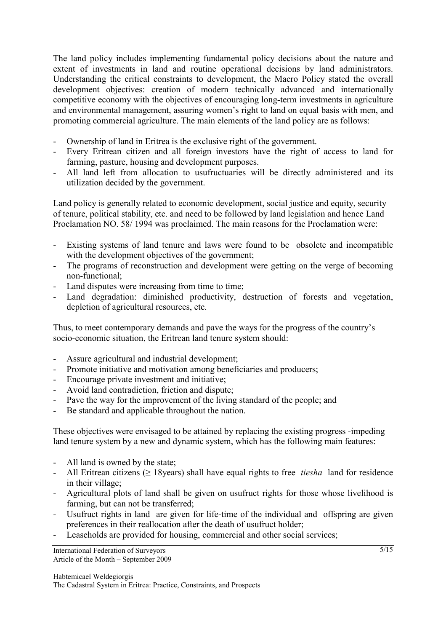The land policy includes implementing fundamental policy decisions about the nature and extent of investments in land and routine operational decisions by land administrators. Understanding the critical constraints to development, the Macro Policy stated the overall development objectives: creation of modern technically advanced and internationally competitive economy with the objectives of encouraging long-term investments in agriculture and environmental management, assuring women's right to land on equal basis with men, and promoting commercial agriculture. The main elements of the land policy are as follows:

- Ownership of land in Eritrea is the exclusive right of the government.
- Every Eritrean citizen and all foreign investors have the right of access to land for farming, pasture, housing and development purposes.
- All land left from allocation to usufructuaries will be directly administered and its utilization decided by the government.

Land policy is generally related to economic development, social justice and equity, security of tenure, political stability, etc. and need to be followed by land legislation and hence Land Proclamation NO. 58/ 1994 was proclaimed. The main reasons for the Proclamation were:

- Existing systems of land tenure and laws were found to be obsolete and incompatible with the development objectives of the government;
- The programs of reconstruction and development were getting on the verge of becoming non-functional;
- Land disputes were increasing from time to time;
- Land degradation: diminished productivity, destruction of forests and vegetation, depletion of agricultural resources, etc.

Thus, to meet contemporary demands and pave the ways for the progress of the country's socio-economic situation, the Eritrean land tenure system should:

- Assure agricultural and industrial development;
- Promote initiative and motivation among beneficiaries and producers;
- Encourage private investment and initiative;
- Avoid land contradiction, friction and dispute;
- Pave the way for the improvement of the living standard of the people; and
- Be standard and applicable throughout the nation.

These objectives were envisaged to be attained by replacing the existing progress -impeding land tenure system by a new and dynamic system, which has the following main features:

- All land is owned by the state;
- All Eritrean citizens (≥ 18years) shall have equal rights to free *tiesha* land for residence in their village;
- Agricultural plots of land shall be given on usufruct rights for those whose livelihood is farming, but can not be transferred;
- Usufruct rights in land are given for life-time of the individual and offspring are given preferences in their reallocation after the death of usufruct holder;
- Leaseholds are provided for housing, commercial and other social services;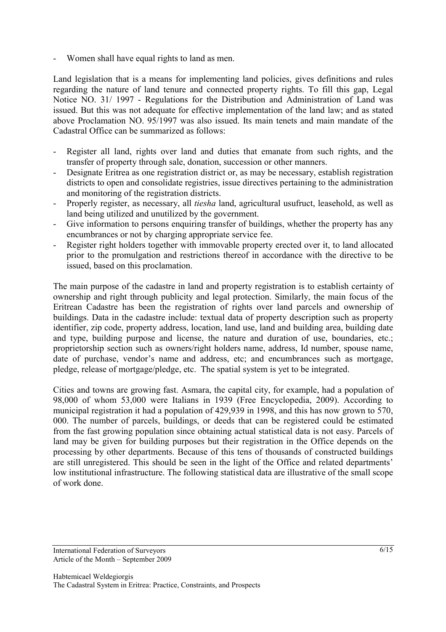Women shall have equal rights to land as men.

Land legislation that is a means for implementing land policies, gives definitions and rules regarding the nature of land tenure and connected property rights. To fill this gap, Legal Notice NO. 31/ 1997 - Regulations for the Distribution and Administration of Land was issued. But this was not adequate for effective implementation of the land law; and as stated above Proclamation NO. 95/1997 was also issued. Its main tenets and main mandate of the Cadastral Office can be summarized as follows:

- Register all land, rights over land and duties that emanate from such rights, and the transfer of property through sale, donation, succession or other manners.
- Designate Eritrea as one registration district or, as may be necessary, establish registration districts to open and consolidate registries, issue directives pertaining to the administration and monitoring of the registration districts.
- Properly register, as necessary, all *tiesha* land, agricultural usufruct, leasehold, as well as land being utilized and unutilized by the government.
- Give information to persons enquiring transfer of buildings, whether the property has any encumbrances or not by charging appropriate service fee.
- Register right holders together with immovable property erected over it, to land allocated prior to the promulgation and restrictions thereof in accordance with the directive to be issued, based on this proclamation.

The main purpose of the cadastre in land and property registration is to establish certainty of ownership and right through publicity and legal protection. Similarly, the main focus of the Eritrean Cadastre has been the registration of rights over land parcels and ownership of buildings. Data in the cadastre include: textual data of property description such as property identifier, zip code, property address, location, land use, land and building area, building date and type, building purpose and license, the nature and duration of use, boundaries, etc.; proprietorship section such as owners/right holders name, address, Id number, spouse name, date of purchase, vendor's name and address, etc; and encumbrances such as mortgage, pledge, release of mortgage/pledge, etc. The spatial system is yet to be integrated.

Cities and towns are growing fast. Asmara, the capital city, for example, had a population of 98,000 of whom 53,000 were Italians in 1939 (Free Encyclopedia, 2009). According to municipal registration it had a population of 429,939 in 1998, and this has now grown to 570, 000. The number of parcels, buildings, or deeds that can be registered could be estimated from the fast growing population since obtaining actual statistical data is not easy. Parcels of land may be given for building purposes but their registration in the Office depends on the processing by other departments. Because of this tens of thousands of constructed buildings are still unregistered. This should be seen in the light of the Office and related departments' low institutional infrastructure. The following statistical data are illustrative of the small scope of work done.

International Federation of Surveyors Article of the Month – September 2009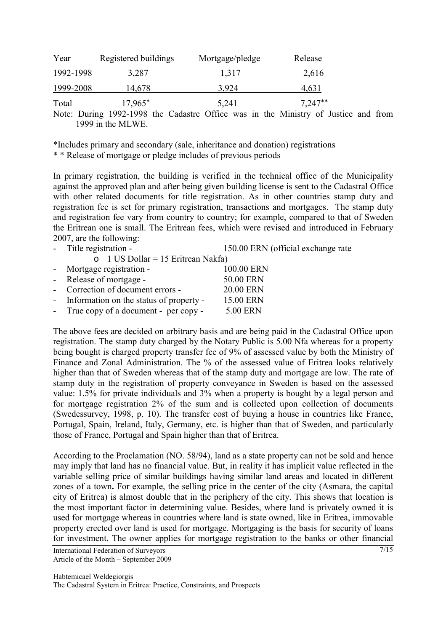| Year      | Registered buildings | Mortgage/pledge | Release   |
|-----------|----------------------|-----------------|-----------|
| 1992-1998 | 3,287                | 1,317           | 2,616     |
| 1999-2008 | 14,678               | 3.924           | 4,631     |
| Total     | $17,965^*$           | 5,241           | $7,247**$ |

Note: During 1992-1998 the Cadastre Office was in the Ministry of Justice and from 1999 in the MLWE.

\*Includes primary and secondary (sale, inheritance and donation) registrations \* \* Release of mortgage or pledge includes of previous periods

In primary registration, the building is verified in the technical office of the Municipality against the approved plan and after being given building license is sent to the Cadastral Office with other related documents for title registration. As in other countries stamp duty and registration fee is set for primary registration, transactions and mortgages. The stamp duty and registration fee vary from country to country; for example, compared to that of Sweden the Eritrean one is small. The Eritrean fees, which were revised and introduced in February 2007, are the following:

 $\sim$  1 US Dollar = 15 Eritrean Nakfa)

Title registration - 150.00 ERN (official exchange rate

|            | $\cup$ r $\cup$ D D D $\cup$ range $\cup$ D $\cup$ R $\cup$ R $\cup$ R $\cup$ R $\cup$ R $\cup$ R $\cup$ R $\cup$ R $\cup$ R $\cup$ R $\cup$ R $\cup$ R $\cup$ R $\cup$ R $\cup$ R $\cup$ R $\cup$ R $\cup$ R $\cup$ R $\cup$ R $\cup$ R $\cup$ R $\cup$ R $\cup$ R $\cup$ R $\cup$ R $\cup$ |                  |
|------------|----------------------------------------------------------------------------------------------------------------------------------------------------------------------------------------------------------------------------------------------------------------------------------------------|------------------|
|            | - Mortgage registration -                                                                                                                                                                                                                                                                    | 100.00 ERN       |
| $\sim 100$ | Release of mortgage -                                                                                                                                                                                                                                                                        | 50.00 ERN        |
|            | - Correction of document errors -                                                                                                                                                                                                                                                            | <b>20.00 ERN</b> |
|            | - Information on the status of property -                                                                                                                                                                                                                                                    | 15.00 ERN        |
| $\sim 100$ | True copy of a document - per copy -                                                                                                                                                                                                                                                         | 5.00 ERN         |
|            |                                                                                                                                                                                                                                                                                              |                  |

The above fees are decided on arbitrary basis and are being paid in the Cadastral Office upon registration. The stamp duty charged by the Notary Public is 5.00 Nfa whereas for a property being bought is charged property transfer fee of 9% of assessed value by both the Ministry of Finance and Zonal Administration. The % of the assessed value of Eritrea looks relatively higher than that of Sweden whereas that of the stamp duty and mortgage are low. The rate of stamp duty in the registration of property conveyance in Sweden is based on the assessed value: 1.5% for private individuals and 3% when a property is bought by a legal person and for mortgage registration 2% of the sum and is collected upon collection of documents (Swedessurvey, 1998, p. 10). The transfer cost of buying a house in countries like France, Portugal, Spain, Ireland, Italy, Germany, etc. is higher than that of Sweden, and particularly those of France, Portugal and Spain higher than that of Eritrea.

According to the Proclamation (NO. 58/94), land as a state property can not be sold and hence may imply that land has no financial value. But, in reality it has implicit value reflected in the variable selling price of similar buildings having similar land areas and located in different zones of a town**.** For example, the selling price in the center of the city (Asmara, the capital city of Eritrea) is almost double that in the periphery of the city. This shows that location is the most important factor in determining value. Besides, where land is privately owned it is used for mortgage whereas in countries where land is state owned, like in Eritrea, immovable property erected over land is used for mortgage. Mortgaging is the basis for security of loans for investment. The owner applies for mortgage registration to the banks or other financial

International Federation of Surveyors Article of the Month – September 2009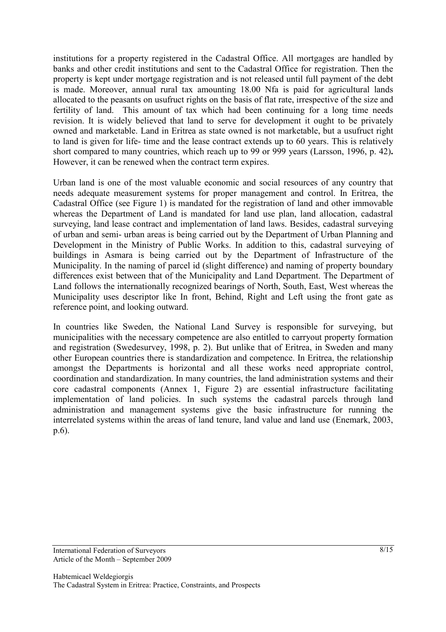institutions for a property registered in the Cadastral Office. All mortgages are handled by banks and other credit institutions and sent to the Cadastral Office for registration. Then the property is kept under mortgage registration and is not released until full payment of the debt is made. Moreover, annual rural tax amounting 18.00 Nfa is paid for agricultural lands allocated to the peasants on usufruct rights on the basis of flat rate, irrespective of the size and fertility of land. This amount of tax which had been continuing for a long time needs revision. It is widely believed that land to serve for development it ought to be privately owned and marketable. Land in Eritrea as state owned is not marketable, but a usufruct right to land is given for life- time and the lease contract extends up to 60 years. This is relatively short compared to many countries, which reach up to 99 or 999 years (Larsson, 1996, p. 42)**.** However, it can be renewed when the contract term expires.

Urban land is one of the most valuable economic and social resources of any country that needs adequate measurement systems for proper management and control. In Eritrea, the Cadastral Office (see Figure 1) is mandated for the registration of land and other immovable whereas the Department of Land is mandated for land use plan, land allocation, cadastral surveying, land lease contract and implementation of land laws. Besides, cadastral surveying of urban and semi- urban areas is being carried out by the Department of Urban Planning and Development in the Ministry of Public Works. In addition to this, cadastral surveying of buildings in Asmara is being carried out by the Department of Infrastructure of the Municipality. In the naming of parcel id (slight difference) and naming of property boundary differences exist between that of the Municipality and Land Department. The Department of Land follows the internationally recognized bearings of North, South, East, West whereas the Municipality uses descriptor like In front, Behind, Right and Left using the front gate as reference point, and looking outward.

In countries like Sweden, the National Land Survey is responsible for surveying, but municipalities with the necessary competence are also entitled to carryout property formation and registration (Swedesurvey, 1998, p. 2). But unlike that of Eritrea, in Sweden and many other European countries there is standardization and competence. In Eritrea, the relationship amongst the Departments is horizontal and all these works need appropriate control, coordination and standardization. In many countries, the land administration systems and their core cadastral components (Annex 1, Figure 2) are essential infrastructure facilitating implementation of land policies. In such systems the cadastral parcels through land administration and management systems give the basic infrastructure for running the interrelated systems within the areas of land tenure, land value and land use (Enemark, 2003, p.6).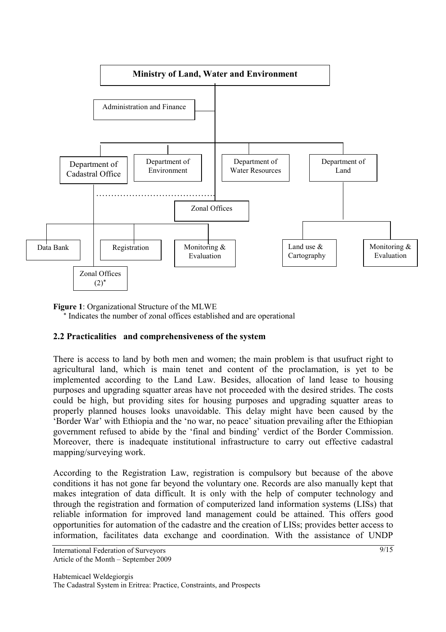



#### **2.2 Practicalities and comprehensiveness of the system**

There is access to land by both men and women; the main problem is that usufruct right to agricultural land, which is main tenet and content of the proclamation, is yet to be implemented according to the Land Law. Besides, allocation of land lease to housing purposes and upgrading squatter areas have not proceeded with the desired strides. The costs could be high, but providing sites for housing purposes and upgrading squatter areas to properly planned houses looks unavoidable. This delay might have been caused by the 'Border War' with Ethiopia and the 'no war, no peace' situation prevailing after the Ethiopian government refused to abide by the 'final and binding' verdict of the Border Commission. Moreover, there is inadequate institutional infrastructure to carry out effective cadastral mapping/surveying work.

According to the Registration Law, registration is compulsory but because of the above conditions it has not gone far beyond the voluntary one. Records are also manually kept that makes integration of data difficult. It is only with the help of computer technology and through the registration and formation of computerized land information systems (LISs) that reliable information for improved land management could be attained. This offers good opportunities for automation of the cadastre and the creation of LISs; provides better access to information, facilitates data exchange and coordination. With the assistance of UNDP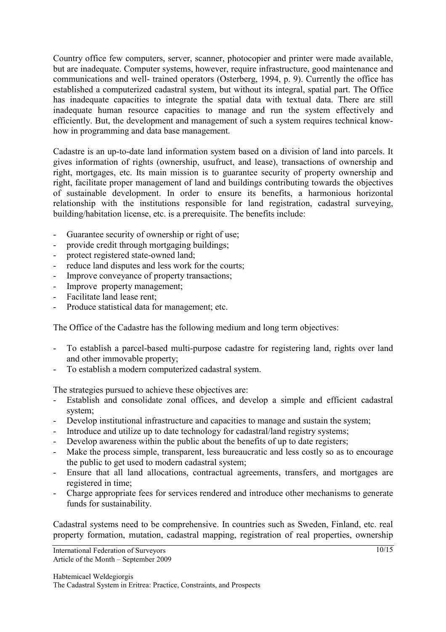Country office few computers, server, scanner, photocopier and printer were made available, but are inadequate. Computer systems, however, require infrastructure, good maintenance and communications and well- trained operators (Osterberg, 1994, p. 9). Currently the office has established a computerized cadastral system, but without its integral, spatial part. The Office has inadequate capacities to integrate the spatial data with textual data. There are still inadequate human resource capacities to manage and run the system effectively and efficiently. But, the development and management of such a system requires technical knowhow in programming and data base management.

Cadastre is an up-to-date land information system based on a division of land into parcels. It gives information of rights (ownership, usufruct, and lease), transactions of ownership and right, mortgages, etc. Its main mission is to guarantee security of property ownership and right, facilitate proper management of land and buildings contributing towards the objectives of sustainable development. In order to ensure its benefits, a harmonious horizontal relationship with the institutions responsible for land registration, cadastral surveying, building/habitation license, etc. is a prerequisite. The benefits include:

- Guarantee security of ownership or right of use;
- provide credit through mortgaging buildings;
- protect registered state-owned land;
- reduce land disputes and less work for the courts;
- Improve conveyance of property transactions;
- Improve property management;
- Facilitate land lease rent;
- Produce statistical data for management; etc.

The Office of the Cadastre has the following medium and long term objectives:

- To establish a parcel-based multi-purpose cadastre for registering land, rights over land and other immovable property;
- To establish a modern computerized cadastral system.

The strategies pursued to achieve these objectives are:

- Establish and consolidate zonal offices, and develop a simple and efficient cadastral system;
- Develop institutional infrastructure and capacities to manage and sustain the system;
- Introduce and utilize up to date technology for cadastral/land registry systems;
- Develop awareness within the public about the benefits of up to date registers;
- Make the process simple, transparent, less bureaucratic and less costly so as to encourage the public to get used to modern cadastral system;
- Ensure that all land allocations, contractual agreements, transfers, and mortgages are registered in time;
- Charge appropriate fees for services rendered and introduce other mechanisms to generate funds for sustainability.

Cadastral systems need to be comprehensive. In countries such as Sweden, Finland, etc. real property formation, mutation, cadastral mapping, registration of real properties, ownership

International Federation of Surveyors Article of the Month – September 2009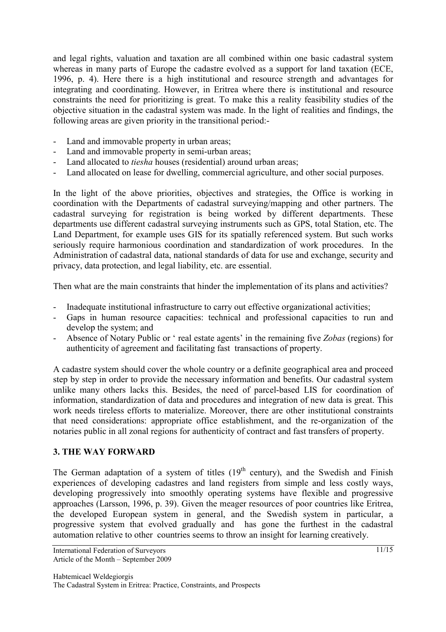and legal rights, valuation and taxation are all combined within one basic cadastral system whereas in many parts of Europe the cadastre evolved as a support for land taxation (ECE, 1996, p. 4). Here there is a high institutional and resource strength and advantages for integrating and coordinating. However, in Eritrea where there is institutional and resource constraints the need for prioritizing is great. To make this a reality feasibility studies of the objective situation in the cadastral system was made. In the light of realities and findings, the following areas are given priority in the transitional period:-

- Land and immovable property in urban areas;
- Land and immovable property in semi-urban areas;
- Land allocated to *tiesha* houses (residential) around urban areas;
- Land allocated on lease for dwelling, commercial agriculture, and other social purposes.

In the light of the above priorities, objectives and strategies, the Office is working in coordination with the Departments of cadastral surveying/mapping and other partners. The cadastral surveying for registration is being worked by different departments. These departments use different cadastral surveying instruments such as GPS, total Station, etc. The Land Department, for example uses GIS for its spatially referenced system. But such works seriously require harmonious coordination and standardization of work procedures. In the Administration of cadastral data, national standards of data for use and exchange, security and privacy, data protection, and legal liability, etc. are essential.

Then what are the main constraints that hinder the implementation of its plans and activities?

- Inadequate institutional infrastructure to carry out effective organizational activities;
- Gaps in human resource capacities: technical and professional capacities to run and develop the system; and
- Absence of Notary Public or ' real estate agents' in the remaining five *Zobas* (regions) for authenticity of agreement and facilitating fast transactions of property.

A cadastre system should cover the whole country or a definite geographical area and proceed step by step in order to provide the necessary information and benefits. Our cadastral system unlike many others lacks this. Besides, the need of parcel-based LIS for coordination of information, standardization of data and procedures and integration of new data is great. This work needs tireless efforts to materialize. Moreover, there are other institutional constraints that need considerations: appropriate office establishment, and the re-organization of the notaries public in all zonal regions for authenticity of contract and fast transfers of property.

#### **3. THE WAY FORWARD**

The German adaptation of a system of titles  $(19<sup>th</sup>$  century), and the Swedish and Finish experiences of developing cadastres and land registers from simple and less costly ways, developing progressively into smoothly operating systems have flexible and progressive approaches (Larsson, 1996, p. 39). Given the meager resources of poor countries like Eritrea, the developed European system in general, and the Swedish system in particular, a progressive system that evolved gradually and has gone the furthest in the cadastral automation relative to other countries seems to throw an insight for learning creatively.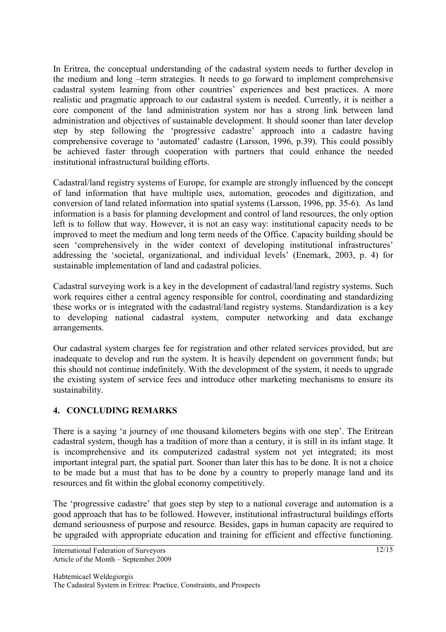In Eritrea, the conceptual understanding of the cadastral system needs to further develop in the medium and long –term strategies. It needs to go forward to implement comprehensive cadastral system learning from other countries' experiences and best practices. A more realistic and pragmatic approach to our cadastral system is needed. Currently, it is neither a core component of the land administration system nor has a strong link between land administration and objectives of sustainable development. It should sooner than later develop step by step following the 'progressive cadastre' approach into a cadastre having comprehensive coverage to 'automated' cadastre (Larsson, 1996, p.39). This could possibly be achieved faster through cooperation with partners that could enhance the needed institutional infrastructural building efforts.

Cadastral/land registry systems of Europe, for example are strongly influenced by the concept of land information that have multiple uses, automation, geocodes and digitization, and conversion of land related information into spatial systems (Larsson, 1996, pp. 35-6). As land information is a basis for planning development and control of land resources, the only option left is to follow that way. However, it is not an easy way: institutional capacity needs to be improved to meet the medium and long term needs of the Office. Capacity building should be seen 'comprehensively in the wider context of developing institutional infrastructures' addressing the 'societal, organizational, and individual levels' (Enemark, 2003, p. 4) for sustainable implementation of land and cadastral policies.

Cadastral surveying work is a key in the development of cadastral/land registry systems. Such work requires either a central agency responsible for control, coordinating and standardizing these works or is integrated with the cadastral/land registry systems. Standardization is a key to developing national cadastral system, computer networking and data exchange arrangements.

Our cadastral system charges fee for registration and other related services provided, but are inadequate to develop and run the system. It is heavily dependent on government funds; but this should not continue indefinitely. With the development of the system, it needs to upgrade the existing system of service fees and introduce other marketing mechanisms to ensure its sustainability.

### **4. CONCLUDING REMARKS**

There is a saying 'a journey of one thousand kilometers begins with one step'. The Eritrean cadastral system, though has a tradition of more than a century, it is still in its infant stage. It is incomprehensive and its computerized cadastral system not yet integrated; its most important integral part, the spatial part. Sooner than later this has to be done. It is not a choice to be made but a must that has to be done by a country to properly manage land and its resources and fit within the global economy competitively.

The 'progressive cadastre' that goes step by step to a national coverage and automation is a good approach that has to be followed. However, institutional infrastructural buildings efforts demand seriousness of purpose and resource. Besides, gaps in human capacity are required to be upgraded with appropriate education and training for efficient and effective functioning.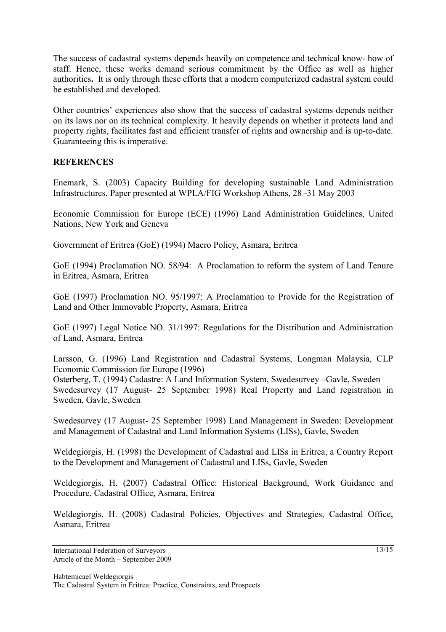The success of cadastral systems depends heavily on competence and technical know- how of staff. Hence, these works demand serious commitment by the Office as well as higher authorities**.** It is only through these efforts that a modern computerized cadastral system could be established and developed.

Other countries' experiences also show that the success of cadastral systems depends neither on its laws nor on its technical complexity. It heavily depends on whether it protects land and property rights, facilitates fast and efficient transfer of rights and ownership and is up-to-date. Guaranteeing this is imperative.

### **REFERENCES**

Enemark, S. (2003) Capacity Building for developing sustainable Land Administration Infrastructures, Paper presented at WPLA/FIG Workshop Athens, 28 -31 May 2003

Economic Commission for Europe (ECE) (1996) Land Administration Guidelines, United Nations, New York and Geneva

Government of Eritrea (GoE) (1994) Macro Policy, Asmara, Eritrea

GoE (1994) Proclamation NO. 58/94: A Proclamation to reform the system of Land Tenure in Eritrea, Asmara, Eritrea

GoE (1997) Proclamation NO. 95/1997: A Proclamation to Provide for the Registration of Land and Other Immovable Property, Asmara, Eritrea

GoE (1997) Legal Notice NO. 31/1997: Regulations for the Distribution and Administration of Land, Asmara, Eritrea

Larsson, G. (1996) Land Registration and Cadastral Systems, Longman Malaysia, CLP Economic Commission for Europe (1996)

Osterberg, T. (1994) Cadastre: A Land Information System, Swedesurvey –Gavle, Sweden Swedesurvey (17 August- 25 September 1998) Real Property and Land registration in Sweden, Gavle, Sweden

Swedesurvey (17 August- 25 September 1998) Land Management in Sweden: Development and Management of Cadastral and Land Information Systems (LISs), Gavle, Sweden

Weldegiorgis, H. (1998) the Development of Cadastral and LISs in Eritrea, a Country Report to the Development and Management of Cadastral and LISs, Gavle, Sweden

Weldegiorgis, H. (2007) Cadastral Office: Historical Background, Work Guidance and Procedure, Cadastral Office, Asmara, Eritrea

Weldegiorgis, H. (2008) Cadastral Policies, Objectives and Strategies, Cadastral Office, Asmara, Eritrea

International Federation of Surveyors Article of the Month – September 2009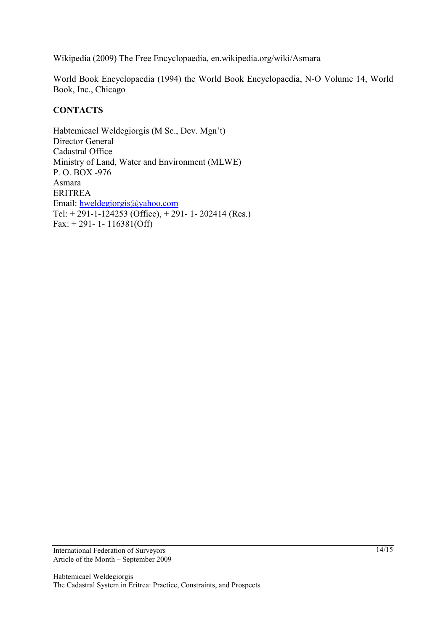Wikipedia (2009) The Free Encyclopaedia, en.wikipedia.org/wiki/Asmara

World Book Encyclopaedia (1994) the World Book Encyclopaedia, N-O Volume 14, World Book, Inc., Chicago

### **CONTACTS**

Habtemicael Weldegiorgis (M Sc., Dev. Mgn't) Director General Cadastral Office Ministry of Land, Water and Environment (MLWE) P. O. BOX -976 Asmara ERITREA Email: hweldegiorgis@yahoo.com Tel:  $+ 291 - 1 - 124253$  (Office),  $+ 291 - 1 - 202414$  (Res.) Fax: + 291- 1- 116381(Off)